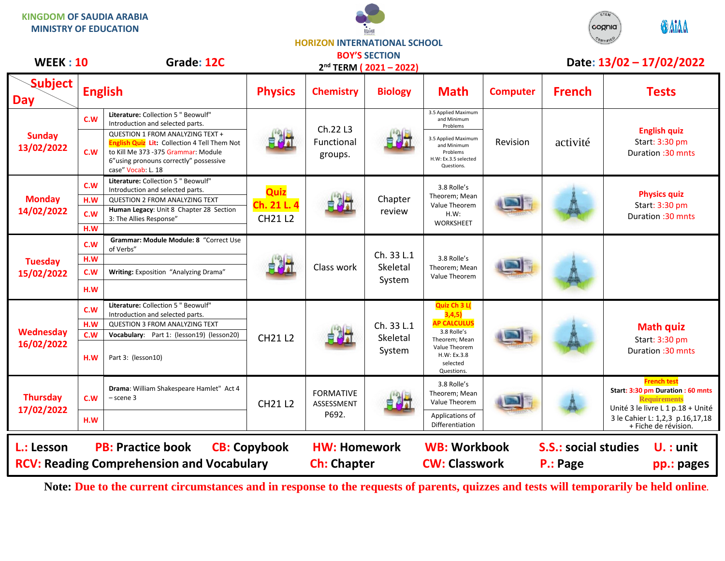**KINGDOM OF SAUDIA ARABIA MINISTRY OF EDUCATION**





**HORIZON INTERNATIONAL SCHOOL BOY'S SECTION**

| <b>WEEK: 10</b>                                               |                   | Grade: 12C                                                                                                                                                                                                 | 2 <sup>nd</sup> TERM (2021-2022) |                                |                                  |                                                                                                                                        | Date: 13/02 - 17/02/2022 |                                            |                                                                                                                     |
|---------------------------------------------------------------|-------------------|------------------------------------------------------------------------------------------------------------------------------------------------------------------------------------------------------------|----------------------------------|--------------------------------|----------------------------------|----------------------------------------------------------------------------------------------------------------------------------------|--------------------------|--------------------------------------------|---------------------------------------------------------------------------------------------------------------------|
| <b>Subject</b><br><b>Day</b>                                  |                   | <b>English</b>                                                                                                                                                                                             | <b>Physics</b>                   | <b>Chemistry</b>               | <b>Biology</b>                   | <b>Math</b>                                                                                                                            | <b>Computer</b>          | <b>French</b>                              | <b>Tests</b>                                                                                                        |
| <b>Sunday</b><br>13/02/2022                                   | C.W<br>c.w        | Literature: Collection 5 " Beowulf"<br>Introduction and selected parts.<br>QUESTION 1 FROM ANALYZING TEXT +<br><b>English Quiz Lit: Collection 4 Tell Them Not</b><br>to Kill Me 373 - 375 Grammar: Module |                                  | Ch.22 L3<br>Functional         |                                  | 3.5 Applied Maximum<br>and Minimum<br>Problems<br>3.5 Applied Maximum<br>and Minimum<br>Problems                                       | Revision                 | activité                                   | <b>English quiz</b><br>Start: 3:30 pm<br>Duration : 30 mnts                                                         |
|                                                               |                   | 6"using pronouns correctly" possessive<br>case" Vocab: L. 18                                                                                                                                               |                                  | groups.                        |                                  | H.W: Ex.3.5 selected<br>Questions.                                                                                                     |                          |                                            |                                                                                                                     |
| <b>Monday</b><br>14/02/2022                                   | C.W<br>H.W        | Literature: Collection 5 " Beowulf"<br>Introduction and selected parts.<br><b>QUESTION 2 FROM ANALYZING TEXT</b>                                                                                           | Quiz                             |                                | Chapter                          | 3.8 Rolle's<br>Theorem; Mean                                                                                                           |                          |                                            | <b>Physics quiz</b><br>Start: 3:30 pm<br>Duration : 30 mnts                                                         |
|                                                               | c.w<br>H.W        | Human Legacy: Unit 8 Chapter 28 Section<br>3: The Allies Response"                                                                                                                                         | Ch. 21 L. 4<br><b>CH21 L2</b>    | 自調計                            | review                           | Value Theorem<br>H.W.<br><b>WORKSHEET</b>                                                                                              |                          |                                            |                                                                                                                     |
| <b>Tuesday</b><br>15/02/2022                                  | C.W               | Grammar: Module Module: 8 "Correct Use<br>of Verbs"                                                                                                                                                        |                                  |                                | Ch. 33 L.1                       |                                                                                                                                        |                          |                                            |                                                                                                                     |
|                                                               | H.W<br>C.W        | Writing: Exposition "Analyzing Drama"                                                                                                                                                                      | 自己。                              | Class work                     | Skeletal                         | 3.8 Rolle's<br>Theorem; Mean<br>Value Theorem                                                                                          |                          |                                            |                                                                                                                     |
|                                                               | H.W               |                                                                                                                                                                                                            |                                  |                                | System                           |                                                                                                                                        |                          |                                            |                                                                                                                     |
| Wednesday<br>16/02/2022                                       | C.W<br>H.W<br>C.W | Literature: Collection 5 " Beowulf"<br>Introduction and selected parts.<br><b>QUESTION 3 FROM ANALYZING TEXT</b><br>Vocabulary: Part 1: (lesson19) (lesson20)                                              | <b>CH21 L2</b>                   | 自喝計                            | Ch. 33 L.1<br>Skeletal<br>System | Quiz Ch 3 L(<br>3,4,5)<br><b>AP CALCULUS</b><br>3.8 Rolle's<br>Theorem; Mean<br>Value Theorem<br>H.W: Ex.3.8<br>selected<br>Questions. |                          |                                            | <b>Math quiz</b><br>Start: 3:30 pm<br>Duration :30 mnts                                                             |
|                                                               | H.W               | Part 3: (lesson10)                                                                                                                                                                                         |                                  |                                |                                  |                                                                                                                                        |                          |                                            |                                                                                                                     |
| <b>Thursday</b><br>17/02/2022                                 | C.W               | Drama: William Shakespeare Hamlet" Act 4<br>$-$ scene $3$                                                                                                                                                  | <b>CH21 L2</b>                   | <b>FORMATIVE</b><br>ASSESSMENT |                                  | 3.8 Rolle's<br>Theorem; Mean<br>Value Theorem                                                                                          |                          |                                            | <b>French test</b><br>Start: 3:30 pm Duration : 60 mnts<br><b>Requirements</b><br>Unité 3 le livre L 1 p.18 + Unité |
|                                                               | H.W               |                                                                                                                                                                                                            |                                  | P692.                          |                                  | Applications of<br>Differentiation                                                                                                     |                          |                                            | 3 le Cahier L: 1,2,3 p.16,17,18<br>+ Fiche de révision.                                                             |
| <b>PB: Practice book</b><br>L.: Lesson<br><b>CB: Copybook</b> |                   |                                                                                                                                                                                                            |                                  | <b>HW: Homework</b>            |                                  | <b>WB: Workbook</b>                                                                                                                    |                          | <b>S.S.: social studies</b><br>$U.$ : unit |                                                                                                                     |
|                                                               |                   | <b>RCV: Reading Comprehension and Vocabulary</b>                                                                                                                                                           |                                  | <b>Ch: Chapter</b>             |                                  | <b>CW: Classwork</b>                                                                                                                   |                          | P.: Page                                   | pp.: pages                                                                                                          |

**Note: Due to the current circumstances and in response to the requests of parents, quizzes and tests will temporarily be held online.**